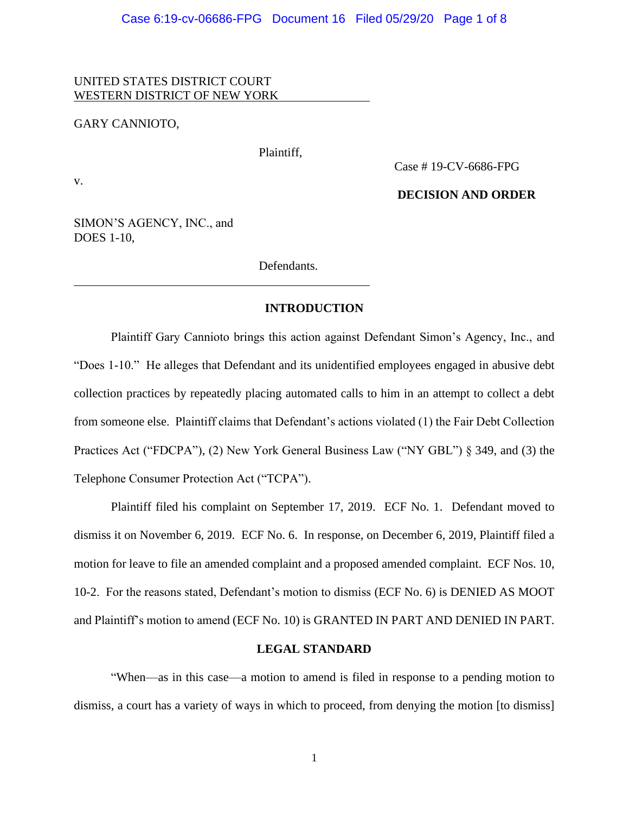UNITED STATES DISTRICT COURT WESTERN DISTRICT OF NEW YORK

GARY CANNIOTO,

Plaintiff,

v.

Case # 19-CV-6686-FPG

## **DECISION AND ORDER**

SIMON'S AGENCY, INC., and DOES 1-10,

Defendants.

## **INTRODUCTION**

Plaintiff Gary Cannioto brings this action against Defendant Simon's Agency, Inc., and "Does 1-10." He alleges that Defendant and its unidentified employees engaged in abusive debt collection practices by repeatedly placing automated calls to him in an attempt to collect a debt from someone else. Plaintiff claims that Defendant's actions violated (1) the Fair Debt Collection Practices Act ("FDCPA"), (2) New York General Business Law ("NY GBL") § 349, and (3) the Telephone Consumer Protection Act ("TCPA").

Plaintiff filed his complaint on September 17, 2019. ECF No. 1. Defendant moved to dismiss it on November 6, 2019. ECF No. 6. In response, on December 6, 2019, Plaintiff filed a motion for leave to file an amended complaint and a proposed amended complaint. ECF Nos. 10, 10-2. For the reasons stated, Defendant's motion to dismiss (ECF No. 6) is DENIED AS MOOT and Plaintiff's motion to amend (ECF No. 10) is GRANTED IN PART AND DENIED IN PART.

## **LEGAL STANDARD**

"When—as in this case—a motion to amend is filed in response to a pending motion to dismiss, a court has a variety of ways in which to proceed, from denying the motion [to dismiss]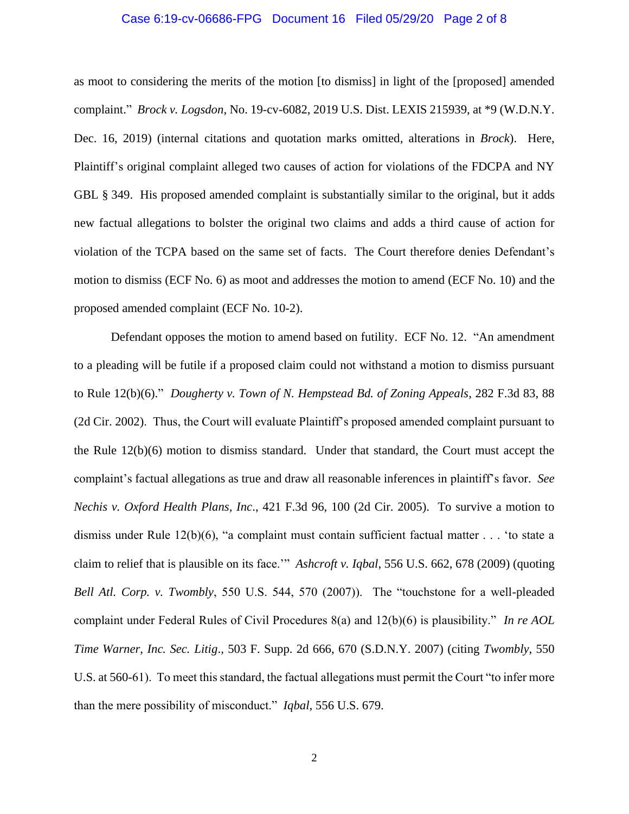## Case 6:19-cv-06686-FPG Document 16 Filed 05/29/20 Page 2 of 8

as moot to considering the merits of the motion [to dismiss] in light of the [proposed] amended complaint." *Brock v. Logsdon*, No. 19-cv-6082, 2019 U.S. Dist. LEXIS 215939, at \*9 (W.D.N.Y. Dec. 16, 2019) (internal citations and quotation marks omitted, alterations in *Brock*). Here, Plaintiff's original complaint alleged two causes of action for violations of the FDCPA and NY GBL § 349. His proposed amended complaint is substantially similar to the original, but it adds new factual allegations to bolster the original two claims and adds a third cause of action for violation of the TCPA based on the same set of facts. The Court therefore denies Defendant's motion to dismiss (ECF No. 6) as moot and addresses the motion to amend (ECF No. 10) and the proposed amended complaint (ECF No. 10-2).

Defendant opposes the motion to amend based on futility. ECF No. 12. "An amendment to a pleading will be futile if a proposed claim could not withstand a motion to dismiss pursuant to Rule 12(b)(6)." *Dougherty v. Town of N. Hempstead Bd. of Zoning Appeals*, 282 F.3d 83, 88 (2d Cir. 2002). Thus, the Court will evaluate Plaintiff's proposed amended complaint pursuant to the Rule 12(b)(6) motion to dismiss standard. Under that standard, the Court must accept the complaint's factual allegations as true and draw all reasonable inferences in plaintiff's favor. *See Nechis v. Oxford Health Plans, Inc*., 421 F.3d 96, 100 (2d Cir. 2005). To survive a motion to dismiss under Rule 12(b)(6), "a complaint must contain sufficient factual matter . . . 'to state a claim to relief that is plausible on its face.'" *Ashcroft v. Iqbal*, 556 U.S. 662, 678 (2009) (quoting *Bell Atl. Corp. v. Twombly*, 550 U.S. 544, 570 (2007)). The "touchstone for a well-pleaded complaint under Federal Rules of Civil Procedures 8(a) and 12(b)(6) is plausibility." *In re AOL Time Warner, Inc. Sec. Litig*., 503 F. Supp. 2d 666, 670 (S.D.N.Y. 2007) (citing *Twombly*, 550 U.S. at 560-61). To meet this standard, the factual allegations must permit the Court "to infer more than the mere possibility of misconduct." *Iqbal*, 556 U.S. 679.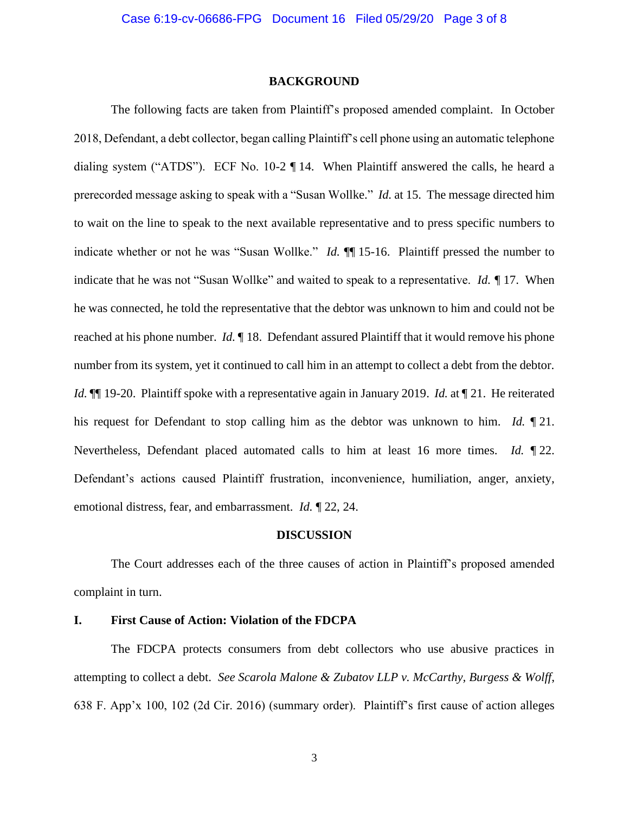#### **BACKGROUND**

The following facts are taken from Plaintiff's proposed amended complaint. In October 2018, Defendant, a debt collector, began calling Plaintiff's cell phone using an automatic telephone dialing system ("ATDS"). ECF No. 10-2 ¶ 14. When Plaintiff answered the calls, he heard a prerecorded message asking to speak with a "Susan Wollke." *Id.* at 15. The message directed him to wait on the line to speak to the next available representative and to press specific numbers to indicate whether or not he was "Susan Wollke." *Id.*  $\P$  15-16. Plaintiff pressed the number to indicate that he was not "Susan Wollke" and waited to speak to a representative. *Id. ¶* 17. When he was connected, he told the representative that the debtor was unknown to him and could not be reached at his phone number. *Id.* ¶ 18. Defendant assured Plaintiff that it would remove his phone number from its system, yet it continued to call him in an attempt to collect a debt from the debtor. *Id.*  $\P$  19-20. Plaintiff spoke with a representative again in January 2019. *Id.* at  $\P$  21. He reiterated his request for Defendant to stop calling him as the debtor was unknown to him. *Id.* ¶ 21. Nevertheless, Defendant placed automated calls to him at least 16 more times. *Id.* ¶ 22. Defendant's actions caused Plaintiff frustration, inconvenience, humiliation, anger, anxiety, emotional distress, fear, and embarrassment. *Id.* ¶ 22, 24.

#### **DISCUSSION**

The Court addresses each of the three causes of action in Plaintiff's proposed amended complaint in turn.

## **I. First Cause of Action: Violation of the FDCPA**

The FDCPA protects consumers from debt collectors who use abusive practices in attempting to collect a debt. *See Scarola Malone & Zubatov LLP v. McCarthy, Burgess & Wolff*, 638 F. App'x 100, 102 (2d Cir. 2016) (summary order). Plaintiff's first cause of action alleges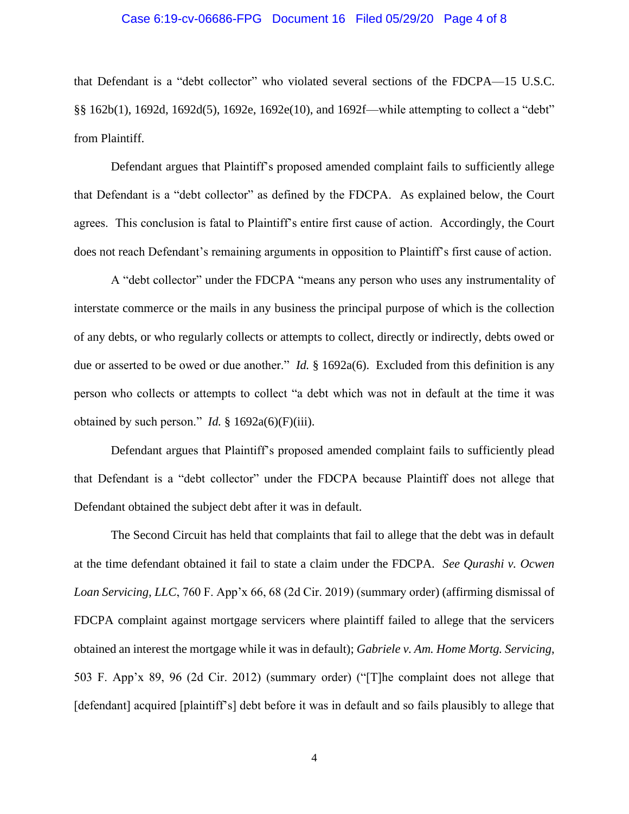## Case 6:19-cv-06686-FPG Document 16 Filed 05/29/20 Page 4 of 8

that Defendant is a "debt collector" who violated several sections of the FDCPA—15 U.S.C. §§ 162b(1), 1692d, 1692d(5), 1692e, 1692e(10), and 1692f—while attempting to collect a "debt" from Plaintiff.

Defendant argues that Plaintiff's proposed amended complaint fails to sufficiently allege that Defendant is a "debt collector" as defined by the FDCPA. As explained below, the Court agrees. This conclusion is fatal to Plaintiff's entire first cause of action. Accordingly, the Court does not reach Defendant's remaining arguments in opposition to Plaintiff's first cause of action.

A "debt collector" under the FDCPA "means any person who uses any instrumentality of interstate commerce or the mails in any business the principal purpose of which is the collection of any debts, or who regularly collects or attempts to collect, directly or indirectly, debts owed or due or asserted to be owed or due another." *Id.* § 1692a(6). Excluded from this definition is any person who collects or attempts to collect "a debt which was not in default at the time it was obtained by such person." *Id.* § 1692a(6)(F)(iii).

Defendant argues that Plaintiff's proposed amended complaint fails to sufficiently plead that Defendant is a "debt collector" under the FDCPA because Plaintiff does not allege that Defendant obtained the subject debt after it was in default.

The Second Circuit has held that complaints that fail to allege that the debt was in default at the time defendant obtained it fail to state a claim under the FDCPA. *See Qurashi v. Ocwen Loan Servicing, LLC*, 760 F. App'x 66, 68 (2d Cir. 2019) (summary order) (affirming dismissal of FDCPA complaint against mortgage servicers where plaintiff failed to allege that the servicers obtained an interest the mortgage while it was in default); *Gabriele v. Am. Home Mortg. Servicing*, 503 F. App'x 89, 96 (2d Cir. 2012) (summary order) ("[T]he complaint does not allege that [defendant] acquired [plaintiff's] debt before it was in default and so fails plausibly to allege that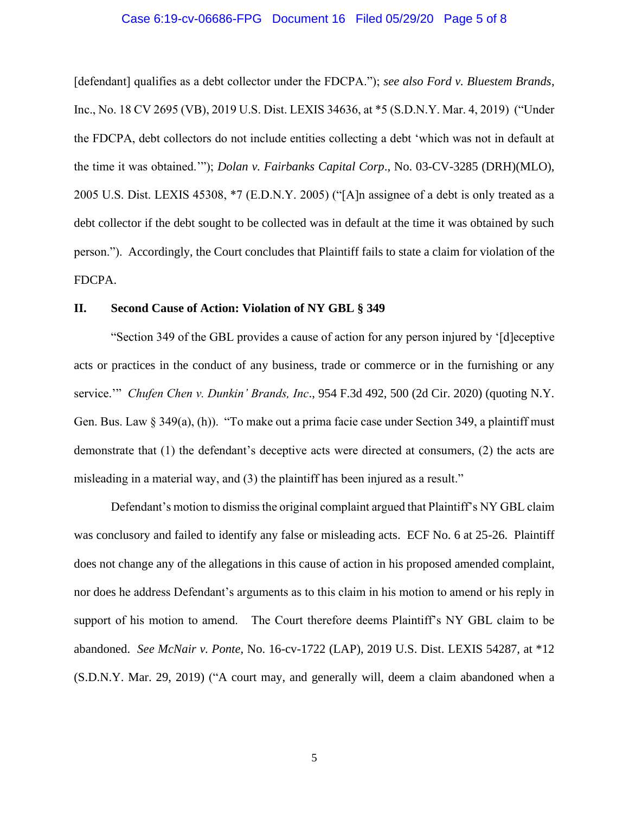### Case 6:19-cv-06686-FPG Document 16 Filed 05/29/20 Page 5 of 8

[defendant] qualifies as a debt collector under the FDCPA."); *see also Ford v. Bluestem Brands*, Inc., No. 18 CV 2695 (VB), 2019 U.S. Dist. LEXIS 34636, at \*5 (S.D.N.Y. Mar. 4, 2019) ("Under the FDCPA, debt collectors do not include entities collecting a debt 'which was not in default at the time it was obtained.'"); *Dolan v. Fairbanks Capital Corp*., No. 03-CV-3285 (DRH)(MLO), 2005 U.S. Dist. LEXIS 45308, \*7 (E.D.N.Y. 2005) ("[A]n assignee of a debt is only treated as a debt collector if the debt sought to be collected was in default at the time it was obtained by such person."). Accordingly, the Court concludes that Plaintiff fails to state a claim for violation of the FDCPA.

## **II. Second Cause of Action: Violation of NY GBL § 349**

"Section 349 of the GBL provides a cause of action for any person injured by '[d]eceptive acts or practices in the conduct of any business, trade or commerce or in the furnishing or any service.'" *Chufen Chen v. Dunkin' Brands, Inc*., 954 F.3d 492, 500 (2d Cir. 2020) (quoting N.Y. Gen. Bus. Law § 349(a), (h)). "To make out a prima facie case under Section 349, a plaintiff must demonstrate that (1) the defendant's deceptive acts were directed at consumers, (2) the acts are misleading in a material way, and (3) the plaintiff has been injured as a result."

Defendant's motion to dismiss the original complaint argued that Plaintiff's NY GBL claim was conclusory and failed to identify any false or misleading acts. ECF No. 6 at 25-26. Plaintiff does not change any of the allegations in this cause of action in his proposed amended complaint, nor does he address Defendant's arguments as to this claim in his motion to amend or his reply in support of his motion to amend. The Court therefore deems Plaintiff's NY GBL claim to be abandoned. *See McNair v. Ponte*, No. 16-cv-1722 (LAP), 2019 U.S. Dist. LEXIS 54287, at \*12 (S.D.N.Y. Mar. 29, 2019) ("A court may, and generally will, deem a claim abandoned when a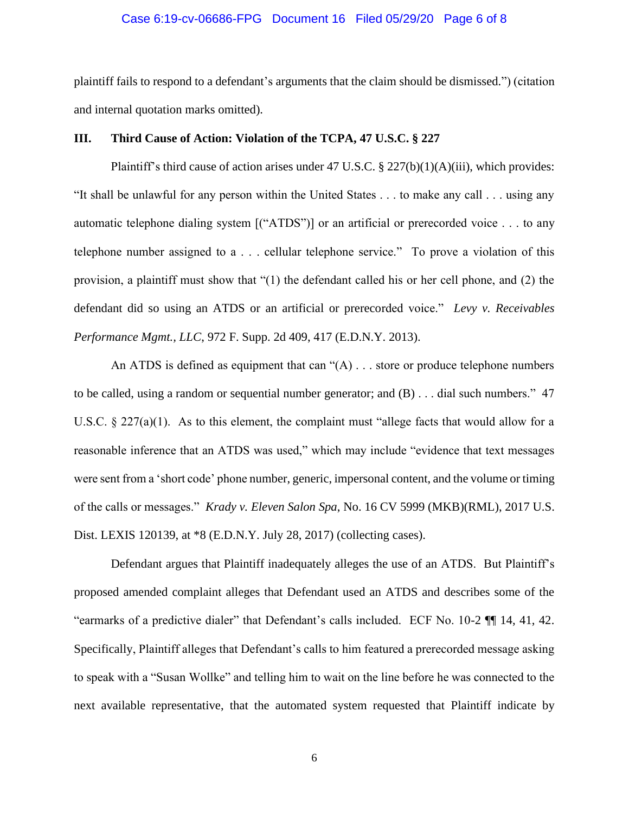## Case 6:19-cv-06686-FPG Document 16 Filed 05/29/20 Page 6 of 8

plaintiff fails to respond to a defendant's arguments that the claim should be dismissed.") (citation and internal quotation marks omitted).

## **III. Third Cause of Action: Violation of the TCPA, 47 U.S.C. § 227**

Plaintiff's third cause of action arises under 47 U.S.C. § 227(b)(1)(A)(iii), which provides: "It shall be unlawful for any person within the United States . . . to make any call . . . using any automatic telephone dialing system [("ATDS")] or an artificial or prerecorded voice . . . to any telephone number assigned to a . . . cellular telephone service." To prove a violation of this provision, a plaintiff must show that "(1) the defendant called his or her cell phone, and (2) the defendant did so using an ATDS or an artificial or prerecorded voice." *Levy v. Receivables Performance Mgmt., LLC*, 972 F. Supp. 2d 409, 417 (E.D.N.Y. 2013).

An ATDS is defined as equipment that can  $\mathcal{A}$ )... store or produce telephone numbers to be called, using a random or sequential number generator; and (B) . . . dial such numbers." 47 U.S.C.  $\S 227(a)(1)$ . As to this element, the complaint must "allege facts that would allow for a reasonable inference that an ATDS was used," which may include "evidence that text messages were sent from a 'short code' phone number, generic, impersonal content, and the volume or timing of the calls or messages." *Krady v. Eleven Salon Spa*, No. 16 CV 5999 (MKB)(RML), 2017 U.S. Dist. LEXIS 120139, at \*8 (E.D.N.Y. July 28, 2017) (collecting cases).

Defendant argues that Plaintiff inadequately alleges the use of an ATDS. But Plaintiff's proposed amended complaint alleges that Defendant used an ATDS and describes some of the "earmarks of a predictive dialer" that Defendant's calls included. ECF No. 10-2 ¶¶ 14, 41, 42. Specifically, Plaintiff alleges that Defendant's calls to him featured a prerecorded message asking to speak with a "Susan Wollke" and telling him to wait on the line before he was connected to the next available representative, that the automated system requested that Plaintiff indicate by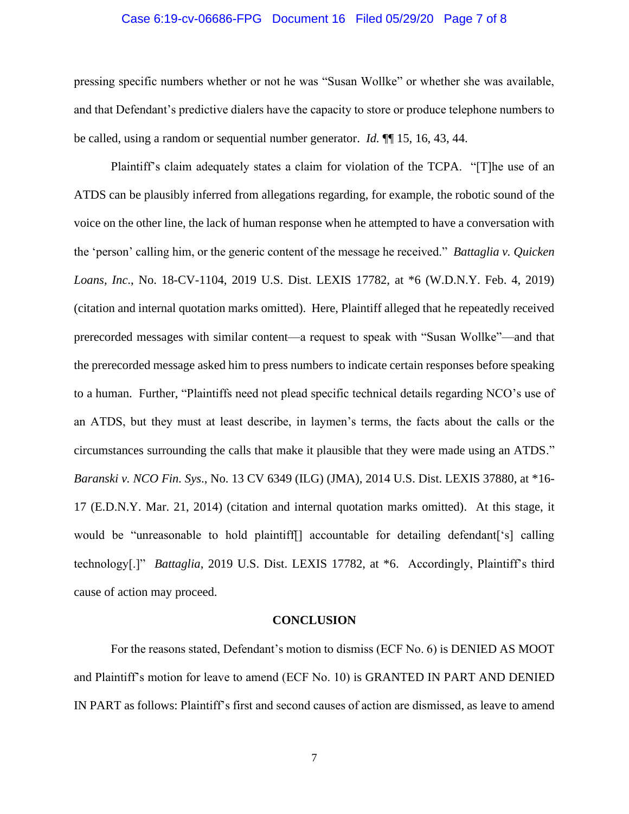## Case 6:19-cv-06686-FPG Document 16 Filed 05/29/20 Page 7 of 8

pressing specific numbers whether or not he was "Susan Wollke" or whether she was available, and that Defendant's predictive dialers have the capacity to store or produce telephone numbers to be called, using a random or sequential number generator. *Id.* ¶¶ 15, 16, 43, 44.

Plaintiff's claim adequately states a claim for violation of the TCPA. "[T]he use of an ATDS can be plausibly inferred from allegations regarding, for example, the robotic sound of the voice on the other line, the lack of human response when he attempted to have a conversation with the 'person' calling him, or the generic content of the message he received." *Battaglia v. Quicken Loans, Inc*., No. 18-CV-1104, 2019 U.S. Dist. LEXIS 17782, at \*6 (W.D.N.Y. Feb. 4, 2019) (citation and internal quotation marks omitted). Here, Plaintiff alleged that he repeatedly received prerecorded messages with similar content—a request to speak with "Susan Wollke"—and that the prerecorded message asked him to press numbers to indicate certain responses before speaking to a human. Further, "Plaintiffs need not plead specific technical details regarding NCO's use of an ATDS, but they must at least describe, in laymen's terms, the facts about the calls or the circumstances surrounding the calls that make it plausible that they were made using an ATDS." *Baranski v. NCO Fin. Sys*., No. 13 CV 6349 (ILG) (JMA), 2014 U.S. Dist. LEXIS 37880, at \*16- 17 (E.D.N.Y. Mar. 21, 2014) (citation and internal quotation marks omitted). At this stage, it would be "unreasonable to hold plaintiff[] accountable for detailing defendant['s] calling technology[.]" *Battaglia*, 2019 U.S. Dist. LEXIS 17782, at \*6. Accordingly, Plaintiff's third cause of action may proceed.

#### **CONCLUSION**

For the reasons stated, Defendant's motion to dismiss (ECF No. 6) is DENIED AS MOOT and Plaintiff's motion for leave to amend (ECF No. 10) is GRANTED IN PART AND DENIED IN PART as follows: Plaintiff's first and second causes of action are dismissed, as leave to amend